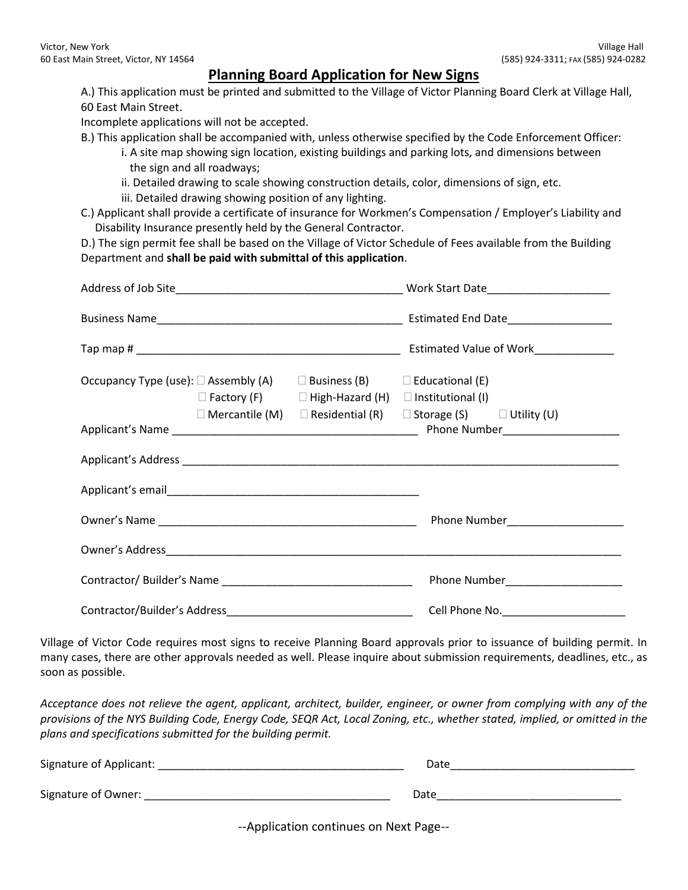## **Planning Board Application for New Signs**

A.) This application must be printed and submitted to the Village of Victor Planning Board Clerk at Village Hall, 60 East Main Street.

Incomplete applications will not be accepted.

- B.) This application shall be accompanied with, unless otherwise specified by the Code Enforcement Officer:
	- i. A site map showing sign location, existing buildings and parking lots, and dimensions between the sign and all roadways;
	- ii. Detailed drawing to scale showing construction details, color, dimensions of sign, etc.
	- iii. Detailed drawing showing position of any lighting.
- C.) Applicant shall provide a certificate of insurance for Workmen's Compensation / Employer's Liability and Disability Insurance presently held by the General Contractor.

D.) The sign permit fee shall be based on the Village of Victor Schedule of Fees available from the Building Department and **shall be paid with submittal of this application**.

| Occupancy Type (use): $\Box$ Assembly (A) $\Box$ Business (B) $\Box$ Educational (E) |  | $\Box$ Factory (F) $\Box$ High-Hazard (H) $\Box$ Institutional (I) |                                                                                    |  |
|--------------------------------------------------------------------------------------|--|--------------------------------------------------------------------|------------------------------------------------------------------------------------|--|
|                                                                                      |  |                                                                    | $\Box$ Mercantile (M) $\Box$ Residential (R) $\Box$ Storage (S) $\Box$ Utility (U) |  |
|                                                                                      |  |                                                                    |                                                                                    |  |
|                                                                                      |  |                                                                    |                                                                                    |  |
|                                                                                      |  |                                                                    | Phone Number_______________________                                                |  |
|                                                                                      |  |                                                                    |                                                                                    |  |
|                                                                                      |  |                                                                    | Phone Number_______________________                                                |  |
|                                                                                      |  |                                                                    |                                                                                    |  |

Village of Victor Code requires most signs to receive Planning Board approvals prior to issuance of building permit. In many cases, there are other approvals needed as well. Please inquire about submission requirements, deadlines, etc., as soon as possible.

*Acceptance does not relieve the agent, applicant, architect, builder, engineer, or owner from complying with any of the provisions of the NYS Building Code, Energy Code, SEQR Act, Local Zoning, etc., whether stated, implied, or omitted in the plans and specifications submitted for the building permit.*

| Signature of Applicant: | Date |
|-------------------------|------|
|                         |      |
| Signature of Owner:     | Date |

--Application continues on Next Page--